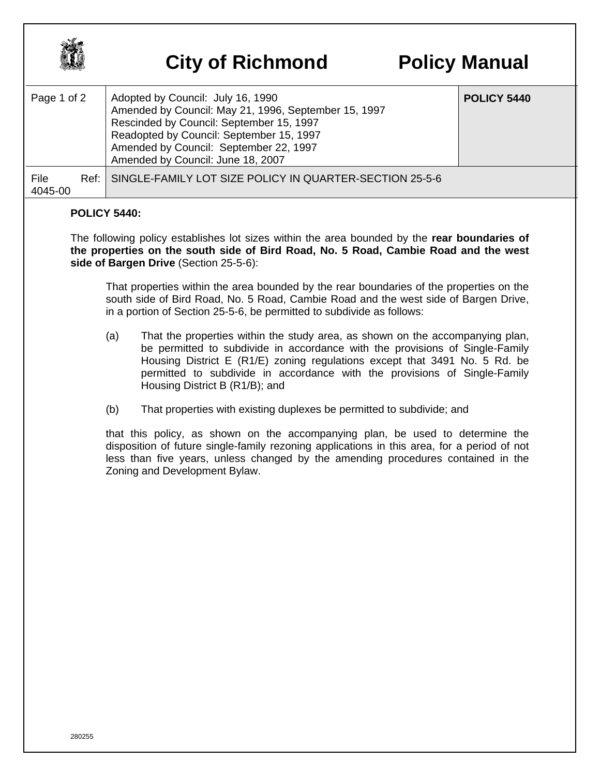

## **City of Richmond Policy Manual**

| Page 1 of 2     | Adopted by Council: July 16, 1990<br>Amended by Council: May 21, 1996, September 15, 1997<br>Rescinded by Council: September 15, 1997<br>Readopted by Council: September 15, 1997<br>Amended by Council: September 22, 1997<br>Amended by Council: June 18, 2007 | <b>POLICY 5440</b> |
|-----------------|------------------------------------------------------------------------------------------------------------------------------------------------------------------------------------------------------------------------------------------------------------------|--------------------|
| File<br>4045-00 | Ref: SINGLE-FAMILY LOT SIZE POLICY IN QUARTER-SECTION 25-5-6                                                                                                                                                                                                     |                    |

## **POLICY 5440:**

The following policy establishes lot sizes within the area bounded by the **rear boundaries of the properties on the south side of Bird Road, No. 5 Road, Cambie Road and the west side of Bargen Drive** (Section 25-5-6):

That properties within the area bounded by the rear boundaries of the properties on the south side of Bird Road, No. 5 Road, Cambie Road and the west side of Bargen Drive, in a portion of Section 25-5-6, be permitted to subdivide as follows:

- (a) That the properties within the study area, as shown on the accompanying plan, be permitted to subdivide in accordance with the provisions of Single-Family Housing District E (R1/E) zoning regulations except that 3491 No. 5 Rd. be permitted to subdivide in accordance with the provisions of Single-Family Housing District B (R1/B); and
- (b) That properties with existing duplexes be permitted to subdivide; and

that this policy, as shown on the accompanying plan, be used to determine the disposition of future single-family rezoning applications in this area, for a period of not less than five years, unless changed by the amending procedures contained in the Zoning and Development Bylaw.